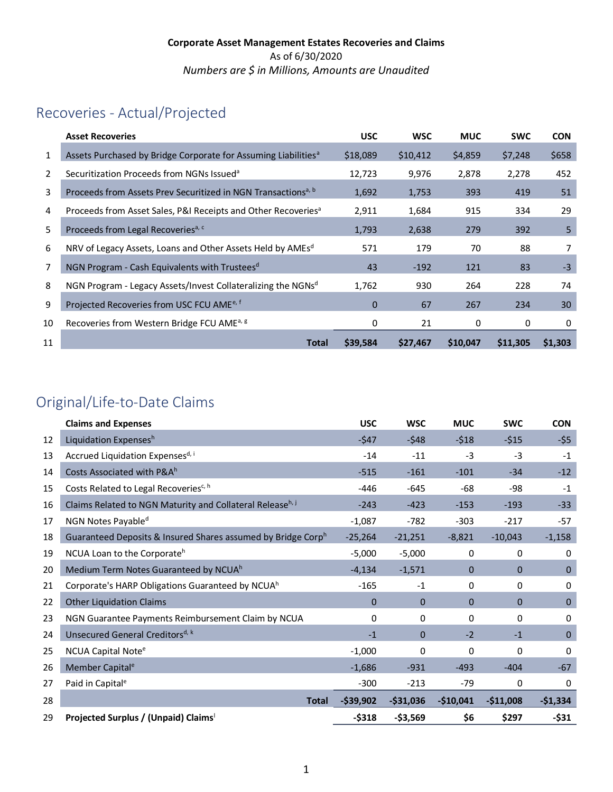# Recoveries - Actual/Projected

|    | <b>Asset Recoveries</b>                                                    | <b>USC</b>  | <b>WSC</b> | <b>MUC</b> | <b>SWC</b> | <b>CON</b> |
|----|----------------------------------------------------------------------------|-------------|------------|------------|------------|------------|
| 1  | Assets Purchased by Bridge Corporate for Assuming Liabilities <sup>a</sup> | \$18,089    | \$10,412   | \$4,859    | \$7,248    | \$658      |
| 2  | Securitization Proceeds from NGNs Issued <sup>a</sup>                      | 12,723      | 9,976      | 2,878      | 2,278      | 452        |
| 3  | Proceeds from Assets Prev Securitized in NGN Transactions <sup>a, b</sup>  | 1,692       | 1,753      | 393        | 419        | 51         |
| 4  | Proceeds from Asset Sales, P&I Receipts and Other Recoveries <sup>a</sup>  | 2,911       | 1,684      | 915        | 334        | 29         |
| 5  | Proceeds from Legal Recoveries <sup>a, c</sup>                             | 1,793       | 2,638      | 279        | 392        | 5          |
| 6  | NRV of Legacy Assets, Loans and Other Assets Held by AMEsd                 | 571         | 179        | 70         | 88         | 7          |
| 7  | NGN Program - Cash Equivalents with Trustees <sup>d</sup>                  | 43          | $-192$     | 121        | 83         | $-3$       |
| 8  | NGN Program - Legacy Assets/Invest Collateralizing the NGNsd               | 1,762       | 930        | 264        | 228        | 74         |
| 9  | Projected Recoveries from USC FCU AME <sup>e, f</sup>                      | $\mathbf 0$ | 67         | 267        | 234        | 30         |
| 10 | Recoveries from Western Bridge FCU AME <sup>a, g</sup>                     | 0           | 21         | 0          | 0          | 0          |
| 11 | <b>Total</b>                                                               | \$39,584    | \$27,467   | \$10,047   | \$11,305   | \$1,303    |

# Original/Life-to-Date Claims

|    | <b>Claims and Expenses</b>                                   | <b>USC</b>   | <b>WSC</b>   | <b>MUC</b>   | <b>SWC</b>   | <b>CON</b>   |
|----|--------------------------------------------------------------|--------------|--------------|--------------|--------------|--------------|
| 12 | Liquidation Expensesh                                        | $-547$       | $-548$       | $-518$       | $-515$       | $-55$        |
| 13 | Accrued Liquidation Expensesd, i                             | $-14$        | $-11$        | $-3$         | $-3$         | $-1$         |
| 14 | Costs Associated with P&A <sup>h</sup>                       | $-515$       | $-161$       | $-101$       | $-34$        | $-12$        |
| 15 | Costs Related to Legal Recoveries <sup>c, h</sup>            | $-446$       | $-645$       | -68          | -98          | $-1$         |
| 16 | Claims Related to NGN Maturity and Collateral Releaseh, j    | $-243$       | $-423$       | $-153$       | $-193$       | $-33$        |
| 17 | NGN Notes Payable <sup>d</sup>                               | $-1,087$     | $-782$       | $-303$       | $-217$       | $-57$        |
| 18 | Guaranteed Deposits & Insured Shares assumed by Bridge Corph | $-25,264$    | $-21,251$    | $-8,821$     | $-10,043$    | $-1,158$     |
| 19 | NCUA Loan to the Corporate <sup>h</sup>                      | $-5,000$     | $-5,000$     | $\mathbf 0$  | 0            | 0            |
| 20 | Medium Term Notes Guaranteed by NCUAh                        | $-4,134$     | $-1,571$     | $\mathbf{0}$ | $\mathbf{0}$ | $\mathbf 0$  |
| 21 | Corporate's HARP Obligations Guaranteed by NCUA <sup>h</sup> | $-165$       | $-1$         | 0            | 0            | 0            |
| 22 | <b>Other Liquidation Claims</b>                              | $\mathbf 0$  | $\mathbf{0}$ | $\Omega$     | $\Omega$     | $\mathbf 0$  |
| 23 | NGN Guarantee Payments Reimbursement Claim by NCUA           | 0            | 0            | $\mathbf{0}$ | 0            | 0            |
| 24 | Unsecured General Creditors <sup>d, k</sup>                  | $-1$         | $\Omega$     | $-2$         | $-1$         | $\mathbf{0}$ |
| 25 | NCUA Capital Note <sup>e</sup>                               | $-1,000$     | 0            | 0            | $\mathbf{0}$ | 0            |
| 26 | Member Capital <sup>e</sup>                                  | $-1,686$     | $-931$       | $-493$       | $-404$       | -67          |
| 27 | Paid in Capital <sup>e</sup>                                 | $-300$       | $-213$       | $-79$        | $\mathbf{0}$ | $\Omega$     |
| 28 | <b>Total</b>                                                 | $-$ \$39,902 | $-531,036$   | $-$10,041$   | $-$11,008$   | $-$1,334$    |
| 29 | Projected Surplus / (Unpaid) Claims                          | $-5318$      | -\$3,569     | \$6          | \$297        | $-531$       |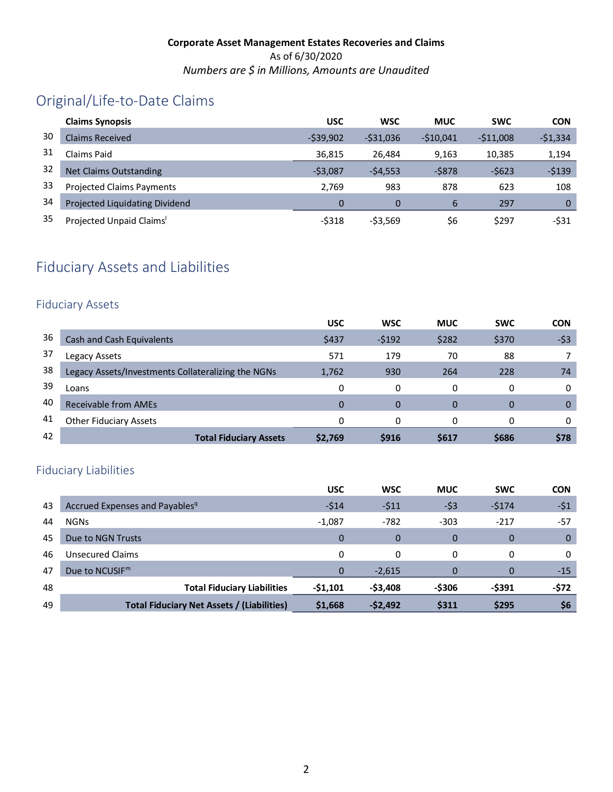# Original/Life-to-Date Claims

|    | <b>Claims Synopsis</b>           | <b>USC</b> | <b>WSC</b> | <b>MUC</b> | <b>SWC</b> | <b>CON</b>  |
|----|----------------------------------|------------|------------|------------|------------|-------------|
| 30 | Claims Received                  | $-539.902$ | $-531.036$ | $-510.041$ | $-511.008$ | $-51,334$   |
| 31 | Claims Paid                      | 36,815     | 26.484     | 9,163      | 10,385     | 1,194       |
| 32 | <b>Net Claims Outstanding</b>    | $-53,087$  | $-54,553$  | $-5878$    | $-5623$    | $-5139$     |
| 33 | <b>Projected Claims Payments</b> | 2.769      | 983        | 878        | 623        | 108         |
| 34 | Projected Liquidating Dividend   | 0          |            | 6          | 297        | $\mathbf 0$ |
| 35 | Projected Unpaid Claims'         | $-5318$    | $-53,569$  | \$6        | \$297      | -\$31       |

# Fiduciary Assets and Liabilities

### Fiduciary Assets

|    |                                                    | <b>USC</b> | <b>WSC</b> | <b>MUC</b>  | <b>SWC</b> | <b>CON</b> |
|----|----------------------------------------------------|------------|------------|-------------|------------|------------|
| 36 | <b>Cash and Cash Equivalents</b>                   | \$437      | $-5192$    | \$282       | \$370      | $-53$      |
| 37 | Legacy Assets                                      | 571        | 179        | 70          | 88         |            |
| 38 | Legacy Assets/Investments Collateralizing the NGNs | 1,762      | 930        | 264         | 228        | 74         |
| 39 | Loans                                              |            | 0          | 0           | 0          | 0          |
| 40 | Receivable from AMEs                               | 0          | $\Omega$   | $\Omega$    | $\Omega$   | 0          |
| 41 | <b>Other Fiduciary Assets</b>                      | O          | $\Omega$   | 0           | 0          | 0          |
| 42 | <b>Total Fiduciary Assets</b>                      | \$2,769    | \$916      | <b>S617</b> | \$686      | \$78       |

## Fiduciary Liabilities

|    |                                                   | <b>USC</b> | <b>WSC</b> | <b>MUC</b> | <b>SWC</b>   | <b>CON</b> |
|----|---------------------------------------------------|------------|------------|------------|--------------|------------|
| 43 | Accrued Expenses and Payables <sup>q</sup>        | $-514$     | $-511$     | $-53$      | $-5174$      | $-51$      |
| 44 | <b>NGNs</b>                                       | $-1,087$   | $-782$     | $-303$     | $-217$       | $-57$      |
| 45 | Due to NGN Trusts                                 | $\Omega$   | $\Omega$   | 0          | 0            | $\Omega$   |
| 46 | <b>Unsecured Claims</b>                           | 0          | $\Omega$   | $\Omega$   | 0            | $\Omega$   |
| 47 | Due to NCUSIF $m$                                 | 0          | $-2,615$   | $\Omega$   | 0            | $-15$      |
| 48 | <b>Total Fiduciary Liabilities</b>                | $-51,101$  | $-53,408$  | -\$306     | -\$391       | -\$72      |
| 49 | <b>Total Fiduciary Net Assets / (Liabilities)</b> | \$1,668    | $-52,492$  | \$311      | <b>\$295</b> | \$6        |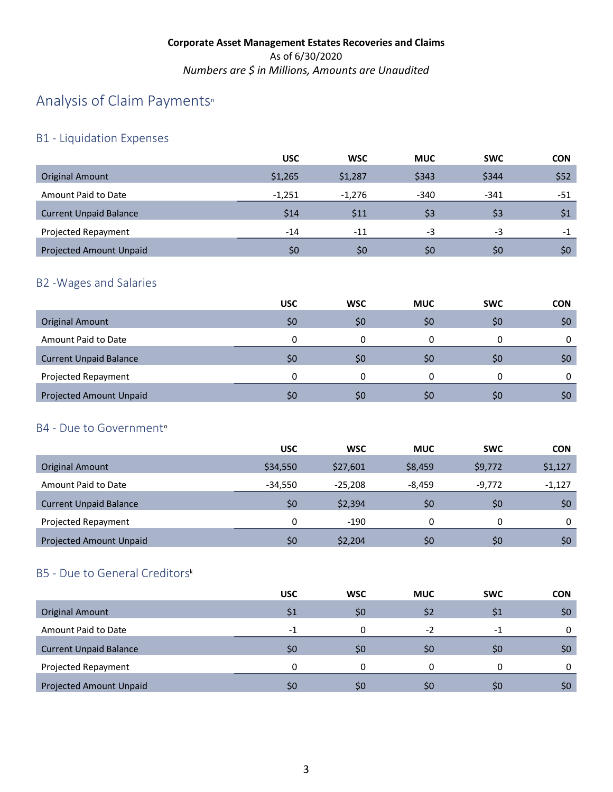# A[n](#page-4-21)alysis of Claim Payments<sup>®</sup>

## B1 - Liquidation Expenses

|                                | <b>USC</b> | <b>WSC</b>     | <b>MUC</b> | <b>SWC</b> | <b>CON</b> |
|--------------------------------|------------|----------------|------------|------------|------------|
| <b>Original Amount</b>         | \$1,265    | \$1,287        | \$343      | \$344      | \$52       |
| Amount Paid to Date            | $-1.251$   | $-1.276$       | $-340$     | $-341$     | -51        |
| <b>Current Unpaid Balance</b>  | \$14       | \$11           | \$3        | \$3        | \$1        |
| Projected Repayment            | $-14$      | $-11$          | -3         | $-3$       | -1         |
| <b>Projected Amount Unpaid</b> | \$0        | S <sub>0</sub> | \$0        | \$0        | \$0        |
|                                |            |                |            |            |            |

## B2 -Wages and Salaries

|                                | <b>USC</b> | <b>WSC</b> | <b>MUC</b> | <b>SWC</b> | <b>CON</b> |
|--------------------------------|------------|------------|------------|------------|------------|
| <b>Original Amount</b>         | \$0        | \$0        | \$0        | \$0        | \$0        |
| Amount Paid to Date            |            |            |            | 0          | 0          |
| <b>Current Unpaid Balance</b>  | \$0        | \$C        | \$0        | S0         | \$0        |
| Projected Repayment            |            |            |            | ი          | 0          |
| <b>Projected Amount Unpaid</b> | S0         | S0         | \$0        | S0         | \$0        |

## B4 - Due t[o](#page-4-22) Government<sup>o</sup>

|                                | <b>USC</b> | <b>WSC</b> | <b>MUC</b> | <b>SWC</b> | <b>CON</b> |
|--------------------------------|------------|------------|------------|------------|------------|
| Original Amount                | \$34,550   | \$27,601   | \$8,459    | \$9,772    | \$1,127    |
| Amount Paid to Date            | $-34.550$  | $-25.208$  | $-8.459$   | $-9,772$   | $-1,127$   |
| <b>Current Unpaid Balance</b>  | \$0        | \$2,394    | \$0        | \$0        | \$0        |
| Projected Repayment            | 0          | $-190$     | 0          | 0          | 0          |
| <b>Projected Amount Unpaid</b> | \$0        | \$2,204    | \$0        | \$0        | \$0        |

## B5 - Due to General Creditor[s](#page-4-20)k

|                                | <b>USC</b> | <b>WSC</b>     | <b>MUC</b> | <b>SWC</b>     | <b>CON</b> |
|--------------------------------|------------|----------------|------------|----------------|------------|
| <b>Original Amount</b>         | \$1        | \$0            | \$2        | S1             | \$0\$      |
| Amount Paid to Date            | $-1$       |                | $-2$       | $-1$           | 0          |
| <b>Current Unpaid Balance</b>  | \$0        | S <sub>0</sub> | \$0        | S <sub>0</sub> | \$0        |
| Projected Repayment            | U          |                | 0          | 0              | 0          |
| <b>Projected Amount Unpaid</b> | S0         | S0             | \$0        | \$0            | \$0        |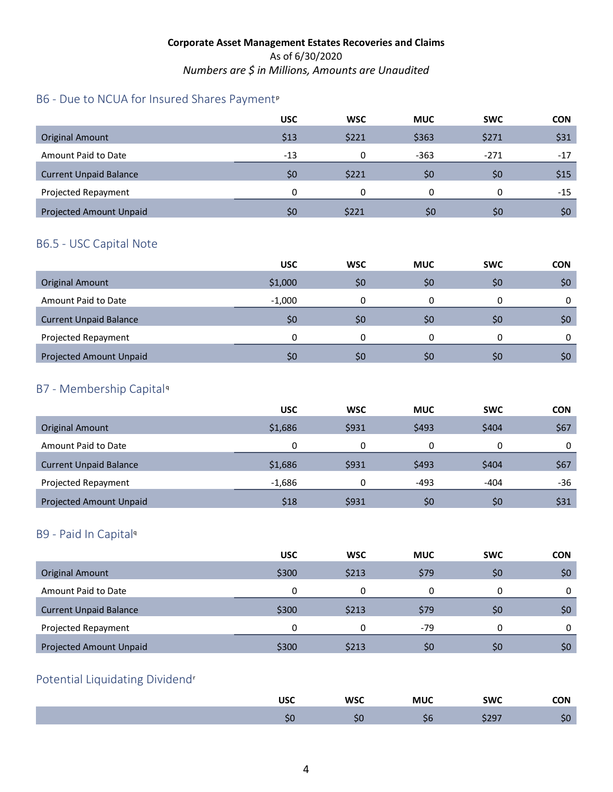## B6 - Due to NCUA for Insured Shares Payment<su[p](#page-4-23)>p</sup>

|                                | <b>USC</b> | <b>WSC</b> | <b>MUC</b> | <b>SWC</b> | <b>CON</b> |
|--------------------------------|------------|------------|------------|------------|------------|
| <b>Original Amount</b>         | \$13       | \$221      | \$363      | \$271      | \$31       |
| Amount Paid to Date            | $-13$      | n          | $-363$     | $-271$     | $-17$      |
| <b>Current Unpaid Balance</b>  | \$0        | \$221      | \$0        | \$0        | \$15       |
| Projected Repayment            | $\Omega$   | 0          | 0          | 0          | -15        |
| <b>Projected Amount Unpaid</b> | SO.        | \$221      | \$0        | \$0        | \$0        |

### B6.5 - USC Capital Note

|                                | <b>USC</b>     | <b>WSC</b> | <b>MUC</b> | <b>SWC</b> | <b>CON</b> |
|--------------------------------|----------------|------------|------------|------------|------------|
| <b>Original Amount</b>         | \$1,000        | \$0        | \$0        | \$0        | \$0        |
| Amount Paid to Date            | $-1,000$       |            |            |            |            |
| <b>Current Unpaid Balance</b>  | \$0            | \$0        | \$0        | \$0        | \$0        |
| Projected Repayment            | 0              |            | 0          |            |            |
| <b>Projected Amount Unpaid</b> | S <sub>0</sub> | \$0        | \$0        | \$0        | \$0        |

## B7 - Membership Capital[q](#page-4-24)

|                                | <b>USC</b> | <b>WSC</b> | <b>MUC</b> | <b>SWC</b> | <b>CON</b> |
|--------------------------------|------------|------------|------------|------------|------------|
| <b>Original Amount</b>         | \$1,686    | \$931      | \$493      | \$404      | \$67       |
| Amount Paid to Date            | 0          | 0          | 0          | 0          | 0          |
| <b>Current Unpaid Balance</b>  | \$1,686    | \$931      | \$493      | \$404      | \$67       |
| Projected Repayment            | $-1,686$   | 0          | $-493$     | $-404$     | -36        |
| <b>Projected Amount Unpaid</b> | \$18       | \$931      | \$0        | \$0        | \$31       |

### B9 - Paid In Capita[l](#page-4-18)<sup>q</sup>

|                                | <b>USC</b> | <b>WSC</b> | <b>MUC</b> | <b>SWC</b>     | <b>CON</b> |
|--------------------------------|------------|------------|------------|----------------|------------|
| <b>Original Amount</b>         | \$300      | \$213      | \$79       | \$0            | \$0\$      |
| Amount Paid to Date            | 0          |            |            | 0              | 0          |
| <b>Current Unpaid Balance</b>  | \$300      | \$213      | \$79       | \$0            | \$0        |
| Projected Repayment            | 0          | 0          | $-79$      | 0              | 0          |
| <b>Projected Amount Unpaid</b> | \$300      | \$213      | \$0        | S <sub>0</sub> | \$0        |

## Potential Liquidating Dividend[r](#page-4-25)

| ПСС<br>טכנ' | <b>WSC</b> | <b>MUC</b> | <b>SWC</b> | <b>CON</b> |
|-------------|------------|------------|------------|------------|
| υc          | - -<br>ວບ  | PС         | , כבי      |            |